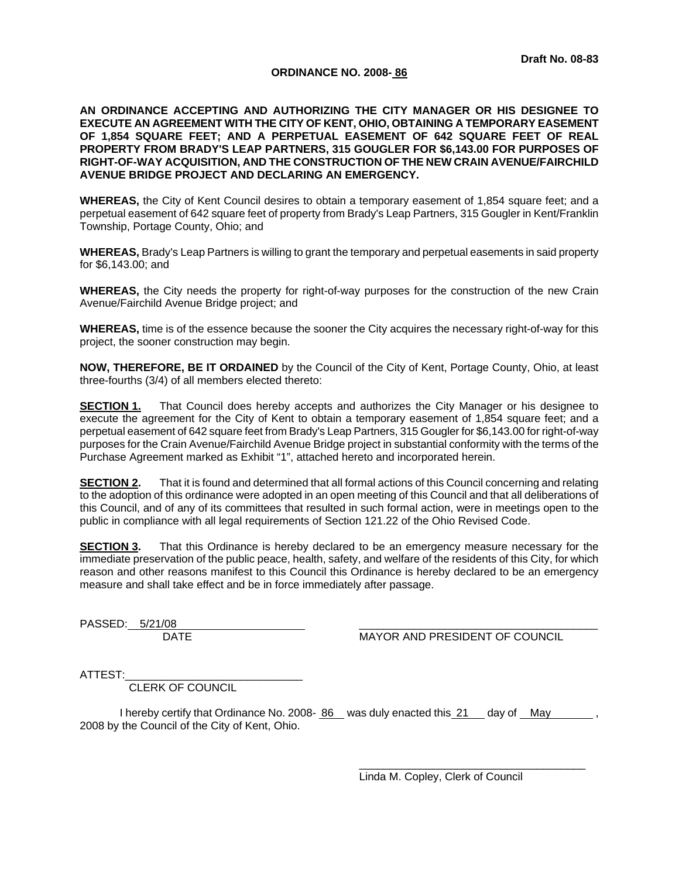### **ORDINANCE NO. 2008- 86**

**AN ORDINANCE ACCEPTING AND AUTHORIZING THE CITY MANAGER OR HIS DESIGNEE TO EXECUTE AN AGREEMENT WITH THE CITY OF KENT, OHIO, OBTAINING A TEMPORARY EASEMENT OF 1,854 SQUARE FEET; AND A PERPETUAL EASEMENT OF 642 SQUARE FEET OF REAL PROPERTY FROM BRADY'S LEAP PARTNERS, 315 GOUGLER FOR \$6,143.00 FOR PURPOSES OF RIGHT-OF-WAY ACQUISITION, AND THE CONSTRUCTION OF THE NEW CRAIN AVENUE/FAIRCHILD AVENUE BRIDGE PROJECT AND DECLARING AN EMERGENCY.** 

**WHEREAS,** the City of Kent Council desires to obtain a temporary easement of 1,854 square feet; and a perpetual easement of 642 square feet of property from Brady's Leap Partners, 315 Gougler in Kent/Franklin Township, Portage County, Ohio; and

**WHEREAS,** Brady's Leap Partners is willing to grant the temporary and perpetual easements in said property for \$6,143.00; and

**WHEREAS,** the City needs the property for right-of-way purposes for the construction of the new Crain Avenue/Fairchild Avenue Bridge project; and

**WHEREAS,** time is of the essence because the sooner the City acquires the necessary right-of-way for this project, the sooner construction may begin.

**NOW, THEREFORE, BE IT ORDAINED** by the Council of the City of Kent, Portage County, Ohio, at least three-fourths (3/4) of all members elected thereto:

**SECTION 1.** That Council does hereby accepts and authorizes the City Manager or his designee to execute the agreement for the City of Kent to obtain a temporary easement of 1,854 square feet; and a perpetual easement of 642 square feet from Brady's Leap Partners, 315 Gougler for \$6,143.00 for right-of-way purposes for the Crain Avenue/Fairchild Avenue Bridge project in substantial conformity with the terms of the Purchase Agreement marked as Exhibit "1", attached hereto and incorporated herein.

**SECTION 2.** That it is found and determined that all formal actions of this Council concerning and relating to the adoption of this ordinance were adopted in an open meeting of this Council and that all deliberations of this Council, and of any of its committees that resulted in such formal action, were in meetings open to the public in compliance with all legal requirements of Section 121.22 of the Ohio Revised Code.

**SECTION 3.** That this Ordinance is hereby declared to be an emergency measure necessary for the immediate preservation of the public peace, health, safety, and welfare of the residents of this City, for which reason and other reasons manifest to this Council this Ordinance is hereby declared to be an emergency measure and shall take effect and be in force immediately after passage.

PASSED:  $5/21/08$ 

DATE MAYOR AND PRESIDENT OF COUNCIL

ATTEST:

CLERK OF COUNCIL

I hereby certify that Ordinance No. 2008- 86 was duly enacted this 21 day of May 2008 by the Council of the City of Kent, Ohio.

> $\overline{\phantom{a}}$  ,  $\overline{\phantom{a}}$  ,  $\overline{\phantom{a}}$  ,  $\overline{\phantom{a}}$  ,  $\overline{\phantom{a}}$  ,  $\overline{\phantom{a}}$  ,  $\overline{\phantom{a}}$  ,  $\overline{\phantom{a}}$  ,  $\overline{\phantom{a}}$  ,  $\overline{\phantom{a}}$  ,  $\overline{\phantom{a}}$  ,  $\overline{\phantom{a}}$  ,  $\overline{\phantom{a}}$  ,  $\overline{\phantom{a}}$  ,  $\overline{\phantom{a}}$  ,  $\overline{\phantom{a}}$ Linda M. Copley, Clerk of Council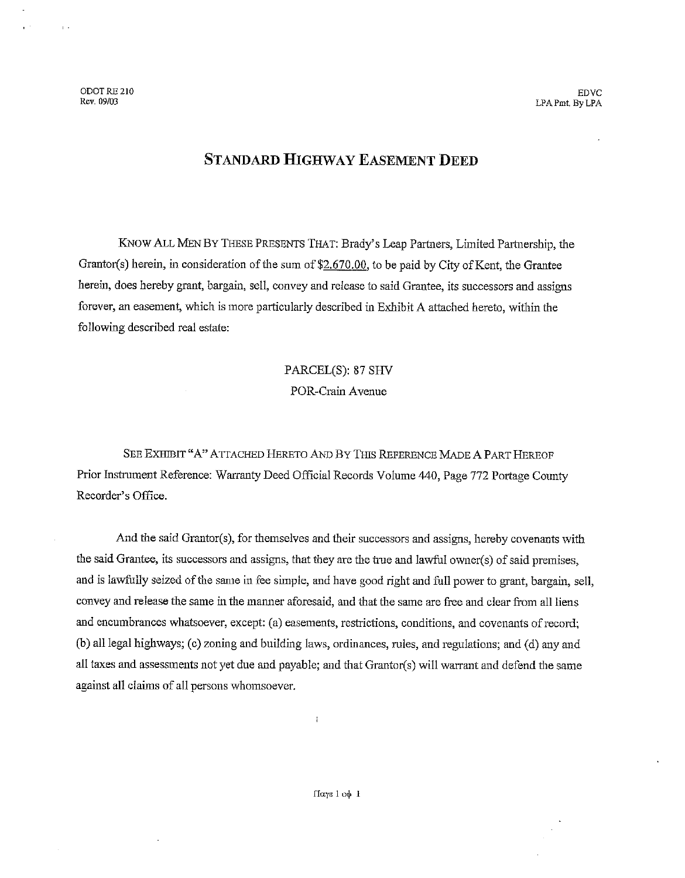ODOT RE 210 Rev. 09/03

 $\overline{1}$ .

### **STANDARD HIGHWAY EASEMENT DEED**

KNOW ALL MEN BY THESE PRESENTS THAT: Brady's Leap Partners, Limited Partnership, the Grantor(s) herein, in consideration of the sum of \$2.670.00, to be paid by City of Kent, the Grantee herein, does hereby grant, bargain, sell, convey and release to said Grantee, its successors and assigns forever, an easement, which is more particularly described in Exhibit A attached hereto, within the following described real estate:

## PARCEL(S): 87 SHV POR-Crain Avenue

SEE EXHIBIT "A" ATTACHED HERETO AND BY THIS REFERENCE MADE A PART HEREOF Prior Instrument Reference: Warranty Deed Official Records Volume 440, Page 772 Portage County Recorder's Office.

And the said Grantor(s), for themselves and their successors and assigns, hereby covenants with the said Grantee, its successors and assigns, that they are the true and lawful owner(s) of said premises, and is lawfully seized of the same in fee simple, and have good right and full power to grant, bargain, sell, convey and release the same in the manner aforesaid, and that the same are free and clear from all liens and encumbrances whatsoever, except: (a) easements, restrictions, conditions, and covenants of record; (b) all legal highways; (c) zoning and building laws, ordinances, rules, and regulations; and (d) any and all taxes and assessments not yet due and payable; and that Grantor(s) will warrant and defend the same against all claims of all persons whomsoever.

 $\mathbf{r}$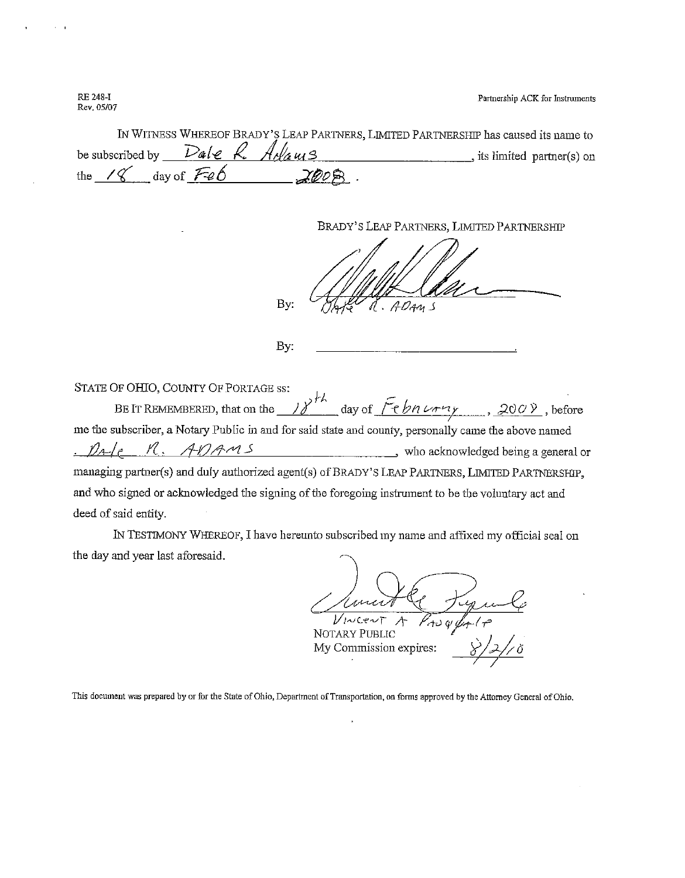Partnership ACK for Instruments

**RE 248-I** Rev. 05/07

| IN WITNESS WHEREOF BRADY'S LEAP PARTNERS, LIMITED PARTNERSHIP has caused its name to |      |                            |
|--------------------------------------------------------------------------------------|------|----------------------------|
| be subscribed by Dale R. Adams                                                       |      | stis limited partner(s) on |
| the $\sqrt{\frac{g}{g}}$ day of $\sqrt{f^2 \cdot \rho}$                              | ZEDB |                            |

BRADY'S LEAP PARTNERS, LIMITED PARTNERSHIP

By:

By:

STATE OF OHIO, COUNTY OF PORTAGE ss: BE IT REMEMBERED, that on the  $N^{h}$  day of  $\tilde{f}ebn \nleftrightarrow y$ , 2009, before me the subscriber, a Notary Public in and for said state and county, personally came the above named  $\mathcal{D}_{A}$ R. ADAMS who acknowledged being a general or managing partner(s) and duly authorized agent(s) of BRADY'S LEAP PARTNERS, LIMITED PARTNERSHIP, and who signed or acknowledged the signing of the foregoing instrument to be the voluntary act and deed of said entity.

IN TESTIMONY WHEREOF, I have hereunto subscribed my name and affixed my official seal on the day and year last aforesaid.

l/jNCenT

**NOTARY PUBLIC** My Commission expires:

This document was prepared by or for the State of Ohio, Department of Transportation, on forms approved by the Attorney General of Ohio.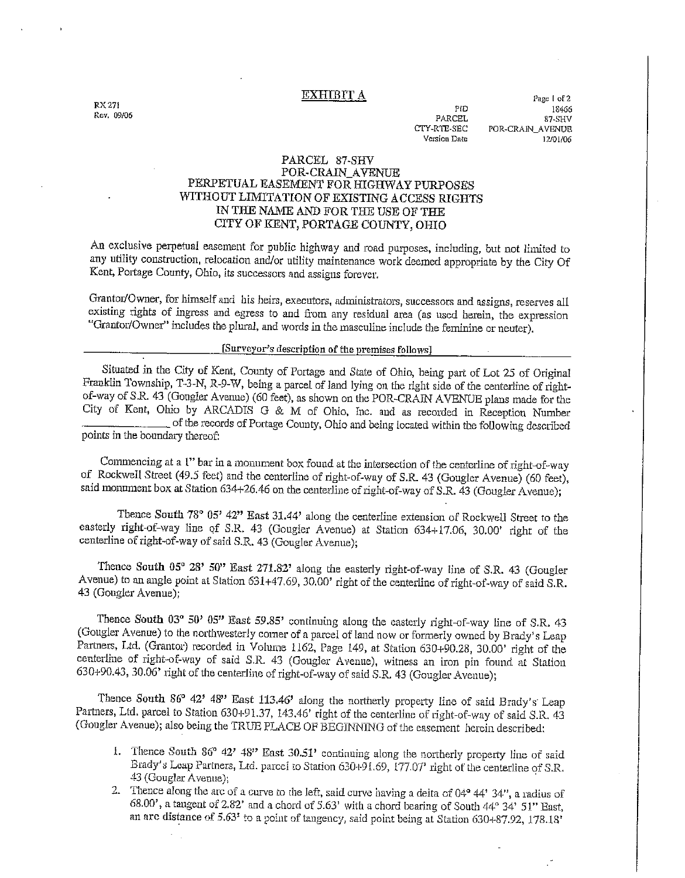**EXHIBIT A** 

**RX 271** Rev. 09/06

PID PARCEL CTY-RTE-SEC Version Date

Page 1 of 2 18466 87-SHV POR-CRAIN\_AVENUE 12/01/06

### PARCEL 87-SHV POR-CRAIN AVENUE PERPETUAL EASEMENT FOR HIGHWAY PURPOSES WITHOUT LIMITATION OF EXISTING ACCESS RIGHTS IN THE NAME AND FOR THE USE OF THE CITY OF KENT, PORTAGE COUNTY, OHIO

An exclusive perpetual easement for public highway and road purposes, including, but not limited to any utility construction, relocation and/or utility maintenance work deemed appropriate by the City Of Kent, Portage County, Ohio, its successors and assigns forever.

Grantor/Owner, for himself and his heirs, executors, administrators, successors and assigns, reserves all existing rights of ingress and egress to and from any residual area (as used herein, the expression "Grantor/Owner" includes the plural, and words in the masculine include the feminine or neuter).

### [Surveyor's description of the premises follows]

Situated in the City of Kent, County of Portage and State of Ohio, being part of Lot 25 of Original Franklin Township, T-3-N, R-9-W, being a parcel of land lying on the right side of the centerline of rightof-way of S.R. 43 (Gougler Avenue) (60 feet), as shown on the POR-CRAIN AVENUE plans made for the City of Kent, Ohio by ARCADIS G & M of Ohio, Inc. and as recorded in Reception Number of the records of Portage County, Ohio and being located within the following described points in the boundary thereof:

Commencing at a 1" bar in a monument box found at the intersection of the centerline of right-of-way of Rockwell Street (49.5 feet) and the centerline of right-of-way of S.R. 43 (Gougler Avenue) (60 feet), said monument box at Station 634+26.46 on the centerline of right-of-way of S.R. 43 (Gougler Avenue);

Thence South 78° 05' 42" East 31.44' along the centerline extension of Rockwell Street to the easterly right-of-way line of S.R. 43 (Gougler Avenue) at Station 634+17.06, 30.00' right of the centerline of right-of-way of said S.R. 43 (Gougler Avenue);

Thence South 05° 28' 50" East 271.82' along the easterly right-of-way line of S.R. 43 (Gougler Avenue) to an angle point at Station 631+47.69, 30.00' right of the centerline of right-of-way of said S.R. 43 (Gougler Avenue);

Thence South 03° 50' 05" East 59.85' continuing along the easterly right-of-way line of S.R. 43 (Gougler Avenue) to the northwesterly comer of a parcel of land now or formerly owned by Brady's Leap Partners, Ltd. (Grantor) recorded in Volume 1162, Page 149, at Station 630+90.28, 30.00' right of the centerline of right-of-way of said S.R. 43 (Gougler Avenue), witness an iron pin found at Station 630+90.43, 30.06' right of the centerline of right-of-way of said S.R. 43 (Gougler Avenue);

Thence South 86° 42' 48" East 113.46' along the northerly property line of said Brady's Leap Partners, Ltd. parcel to Station 630+91.37, 143.46' right of the centerline of right-of-way of said S.R. 43 (Gougler Avenue); also being the TRUE PLACE OF BEGINNING of the easement herein described:

- 1. Thence South 86° 42' 48" East 30.51' continuing along the northerly property line of said Brady's Leap Partners, Ltd. parcel to Station 630+91.69, 177.07' right of the centerline of S.R. 43 (Gouglar Avenue):
- 2. Thence along the arc of a curve to the left, said curve having a delta of  $04^{\circ}$  44' 34", a radius of 68.00', a tangent of 2.82' and a chord of 5.63' with a chord bearing of South 44° 34' 51" East, an arc distance of 5.63' to a point of tangency, said point being at Station 630+87.92, 178.18'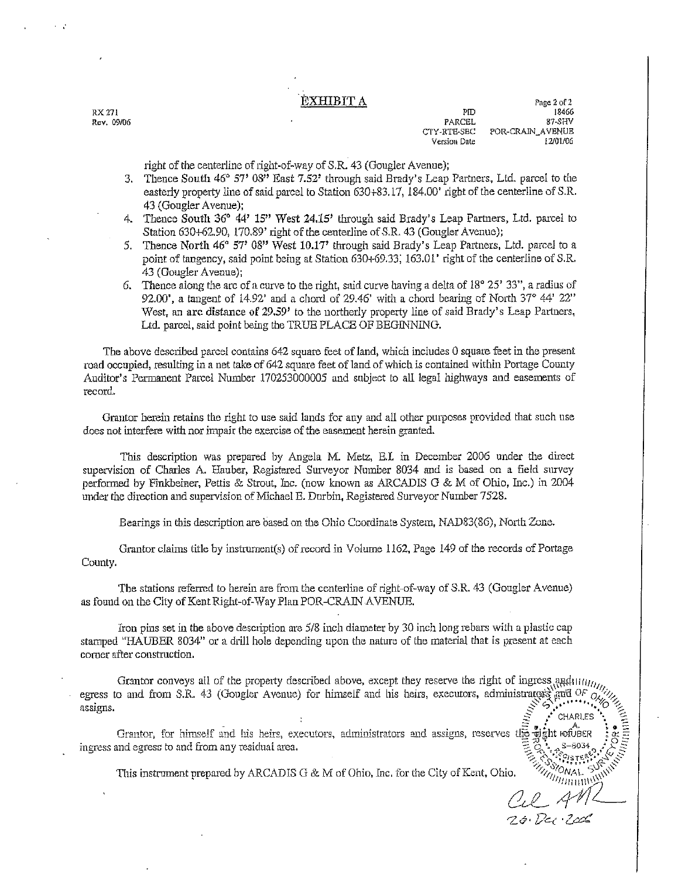### ÈXHIBIT A

RX 271 Rev. 09/06

Page 2 of 2 PID 18466 PARCEL 87.SHV CTY-RTE-SEC POR-CRAIN\_AVENUE Version Date 12/01/06

CHARLES

 $20.700$ 

right of the centerline of right-of-way of S.R. 43 (Gougler Avenue);

- 3. Thence South 46° 57' 08" East 7.52' through said Brady's Leap Partners, Ltd. parcel to the easterly property line of said parcel to Station 630+83.17, 184.00' right of the centerline of S.R. 43 (Gougler Avenue):
- 4. Thence South 36° 44' 15" West 24.15' through said Brady's Leap Partners, Ltd. parcel to Station 630+62.90, 170.89' right of the centerline of S.R. 43 (Gougler Avenue);
- 5. Thence North 46° 57' 08" West 10.17' through said Brady's Leap Partners, Ltd. parcel to a point of tangency, said point being at Station 630+69.33, 163.01' right of the centerline of S.R. 43 (Gougler Avenue);
- 6. Thence along the arc of a curve to the right, said curve having a delta of  $18^{\circ}$  25' 33", a radius of 92.00', a tangent of 14.92' and a chord of 29.46' with a chord bearing of North  $37^{\circ}$  44'  $22^{\prime\prime}$ West, an arc distance of 29.59' to the northerly property line of said Brady's Leap Partners, Ltd. parcel, said point being the TRUE PLACE OF BEGINNING.

The above described parcel contains 642 square feet of land, which includes 0 square feet in the present road occupied, resulting in a net take of 642 square feet of land of which is contained within Portage County Auditor's Permanent Parcel Number 170253000005 and subject to all legal highways and easements of record.

Grantor herein retains the right to use said lands for any and all other purposes provided that such use does not interfere with nor impair the exercise of the easement herein granted.

This description was prepared by Angela M. Metz, E.I. in December 2006 under the direct supervision of Charles A. Hauber, Registered Surveyor Number 8034 and is based on a field survey performed by Finkbeiner, Pettis & Strout, Inc. (now known as ARCADIS G & M of Ohio, Inc.) in 2004 under the direction and supervision of Michael E. Durbin, Registered Surveyor Number 7528.

Bearings in this description are based on the Ohio Coordinate System, NAD83(86), North Zone.

Grantor claims title by instrument(s) of record in Volume 1162, Page 149 of the records of Portage County.

The stations referred to herein are from the centerline of right-of-way of S.R. 43 (Gougler Avenue) as found on the City of Kent Right-of-Way Plan POR-CRAIN AVENUE.

fron pins set in the above description are 5/8 inch diameter by 30 inch long rebars with a plastic cap stamped "HAUBER 8034" or a drill hole depending upon the nature of the material that is present at each corner after construction.

Grantor conveys all of the property described above, except they reserve the right of ingress and unusually egress to and from S.R. 43 (Gougler Avenue) for himself and his heirs, executors, administrators and  $0<sup>F</sup>$ assigns.

Grantor, for himself and his heirs, executors, administrators and assigns, reserves the wight  $\omega$  exerged and egress to and from any residual area. ingress and egress to and from any residual area.

**ARTICLE AND SURVEY STATE AND SURVEY STATE AND SURVEY STATE AND SURVEY STATE AND SURVEY STATE AND SURVEY STATE A**<br>SURVEY ON ALL SURVEY STATE AND SURVEY STATE AND SURVEY STATE AND SURVEY STATE AND SURVEY STATE AND SURVEY ST This instrument prepared by ARCADIS G & M of Ohio, Inc. for the City of Kent, Ohio.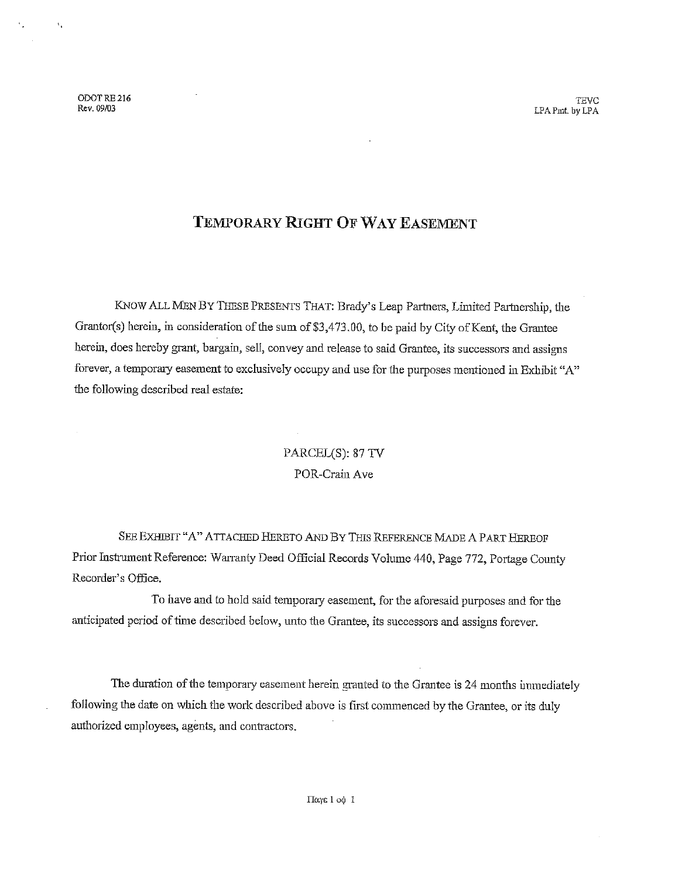ODOT RE 216 Rev. 09/03

 $\Lambda$ 

**TEVC** LPA Pmt, by LPA

## TEMPORARY RIGHT OF WAY EASEMENT

KNOW ALL MEN BY THESE PRESENTS THAT: Brady's Leap Partners, Limited Partnership, the Grantor(s) herein, in consideration of the sum of \$3,473.00, to be paid by City of Kent, the Grantee herein, does hereby grant, bargain, sell, convey and release to said Grantee, its successors and assigns forever, a temporary easement to exclusively occupy and use for the purposes mentioned in Exhibit "A" the following described real estate:

# PARCEL(S): 87 TV POR-Crain Ave

SEE EXHIBIT "A" ATTACHED HERETO AND BY THIS REFERENCE MADE A PART HEREOF Prior Instrument Reference: Warranty Deed Official Records Volume 440, Page 772, Portage County Recorder's Office.

To have and to hold said temporary easement, for the aforesaid purposes and for the anticipated period of time described below, unto the Grantee, its successors and assigns forever.

The duration of the temporary easement herein granted to the Grantee is 24 months immediately following the date on which the work described above is first commenced by the Grantee, or its duly authorized employees, agents, and contractors.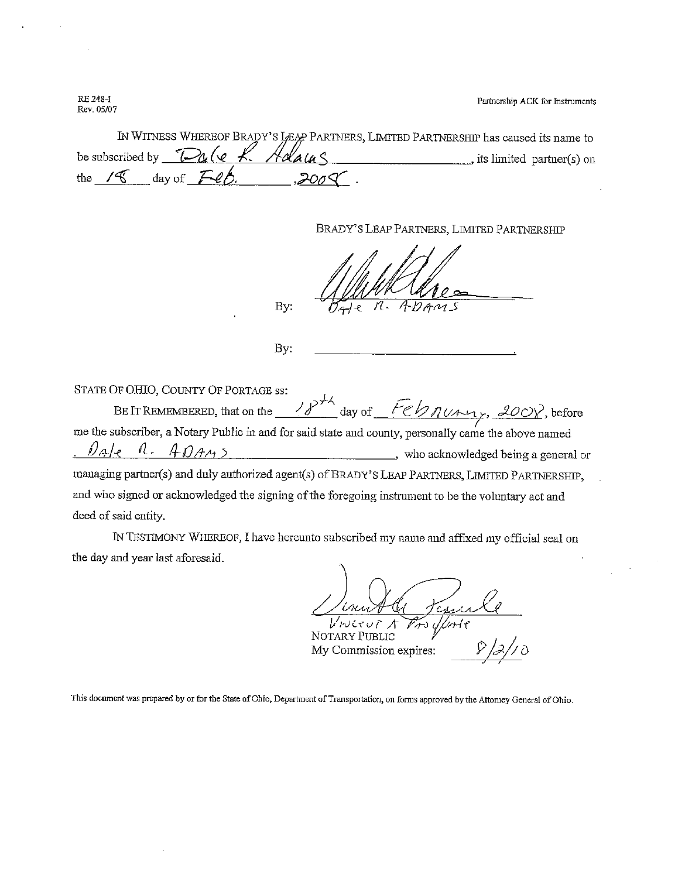Partnership ACK for Instruments

RE 248-I Rev. 05/07

| IN WITNESS WHEREOF BRADY'S LEAP PARTNERS, LIMITED PARTNERSHIP has caused its name to |                          |
|--------------------------------------------------------------------------------------|--------------------------|
| be subscribed by $\text{Dale }k$ . Adams                                             | ts limited partner(s) on |
| the $/8$ day of $\angle$ ep.<br>200 <sup>0</sup>                                     |                          |

BRADY'S LEAP PARTNERS, LIMITED PARTNERSHIP

By:

By:

STATE OF OHIO, COUNTY OF PORTAGE SS:

BE IT REMEMBERED, that on the  $\frac{18h}{\pi}$  day of  $\frac{Feb\pi u \pi y}{\pi}$ , 200Y, before me the subscriber, a Notary Public in and for said state and county, personally came the above named  $\pi$ .  $\frac{40443}{\pi}$  $\ell$ ale managing partner(s) and duly authorized agent(s) of BRADY'S LEAP PARTNERS, LIMITED PARTNERSHIP, and who signed or acknowledged the signing of the foregoing instrument to be the voluntary act and deed of said entity.

IN TESTIMONY WHEREOF, I have hereunto subscribed my name and affixed my official seal on the day and year last aforesaid.

NOTARY PUBLIC My Commission expires:

This document was prepared by or for the State of Ohio, Department of Transportation, on forms approved by the Attorney General of Ohio.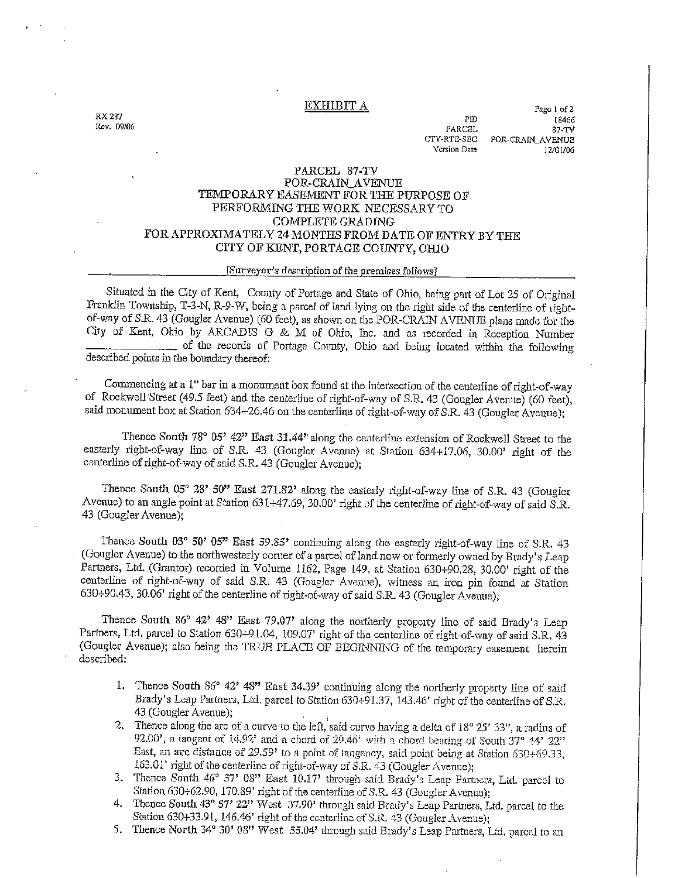#### EXHIBIT A

**FX 287** Rev. 09/06

Page 1 of 2  $PID$ 18466 **PARCEL** 87-TV CTY-RTE-SEC POR-CRAIN\_AVENUE Version Date 12/01/06

### PARCEL 87-TV POR-CRAIN AVENUE TEMPORARY EASEMENT FOR THE PURPOSE OF PERFORMING THE WORK NECESSARY TO **COMPLETE GRADING** FOR APPROXIMATELY 24 MONTHS FROM DATE OF ENTRY BY THE CITY OF KENT, PORTAGE COUNTY, OHIO

### [Surveyor's description of the premises follows]

Situated in the City of Kent, County of Portage and State of Ohio, being part of Lot 25 of Original Franklin Township, T-3-N, R-9-W, being a parcel of land lying on the right side of the centerline of rightof-way of S.R. 43 (Gougler Avenue) (60 feet), as shown on the POR-CRAIN AVENUE plans made for the City of Kent, Ohio by ARCADIS G & M of Ohio, Inc. and as recorded in Reception Number of the records of Portage County, Ohio and being located within the following described points in the boundary thereof:

Commencing at a 1" bar in a monument box found at the intersection of the centerline of right-of-way of Rockwell Street (49.5 feet) and the centerline of right-of-way of S.R. 43 (Gougler Avenue) (60 feet), said monument box at Station 634+26.46 on the centerline of right-of-way of S.R. 43 (Gougler Avenue);

Thence South 78° 05' 42" East 31.44' along the centerline extension of Rockwell Street to the easterly right-of-way line of S.R. 43 (Gougler Avenue) at Station 634+17.06, 30.00' right of the centerline of right-of-way of said S.R. 43 (Gougler Avenue);

Thence South 05° 28' 50" East 271.82' along the easterly right-of-way line of S.R. 43 (Gougler Avenue) to an angle point at Station 631+47.69, 30.00' right of the centerline of right-of-way of said S.R. 43 (Gougler Avenue);

Thence South 03° 50' 05" East 59.85' continuing along the easterly right-of-way line of S.R. 43 (Gougler Avenue) to the northwesterly corner of a parcel of land now or formerly owned by Brady's Leap Partners, Ltd. (Grantor) recorded in Volume 1162, Page 149, at Station 630+90.28, 30.00' right of the centerline of right-of-way of said S.R. 43 (Gougler Avenue), witness an iron pin found at Station 630+90.43, 30.06' right of the centerline of right-of-way of said S.R. 43 (Gougler Avenue);

Thence South 86° 42' 48" East 79.07' along the notherly property line of said Brady's Leap Partners, Ltd. parcel to Station 630+91.04, 109.07' right of the centerline of right-of-way of said S.R. 43 (Gougler Avenue); also being the TRUE PLACE OF BEGINNING of the temporary easement herein described:

- 1. Thence South 86° 42' 48" East 34.39' continuing along the northerly property line of said Brady's Leap Partners, Ltd. parcel to Station 630+91.37, 143.46' right of the centerline of S.R. 43 (Gougler Avenue):
- 2. Thence along the arc of a curve to the left, said curve having a delta of 18° 25' 33", a radius of 92.00', a tangent of 14.92' and a chord of 29.46' with a chord bearing of South 37° 44' 22" East, an arc distance of 29.59' to a point of tangency, said point being at Station 630+69.33, 163.01' right of the centerline of right-of-way of S.R. 43 (Gougler Ayenue):
- 3. Thence South 46° 57' 08" East 10.17' through said Brady's Leap Partners, Ltd. parcel to Station 630+62.90, 170.89' right of the centerline of S.R. 43 (Gougler Avenue);
- 4. Thence South 43° 57' 22" West 37.90' through said Brady's Leap Partners, Ltd. parcel to the Station 630+33.91, 146.46' right of the centerline of S.R. 43 (Gougler Avenue);
- 5. Thence North 34° 30' 08" West 55.04' through said Brady's Leap Partners, Ltd. parcel to an